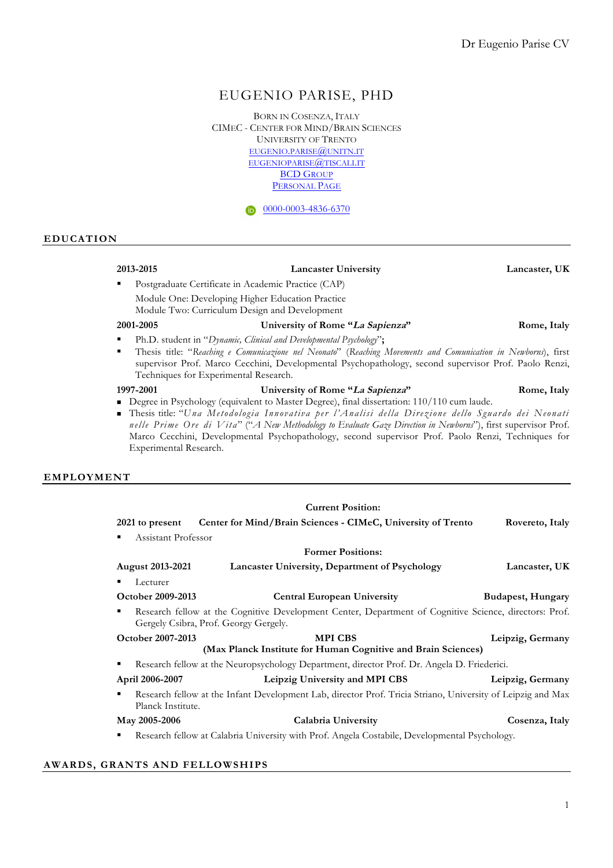# EUGENIO PARISE, PHD

BORN IN COSENZA, ITALY CIMEC - CENTER FOR MIND/BRAIN SCIENCES UNIVERSITY OF TRENTO EUGENIO.PARISE@UNITN.IT EUGENIOPARISE@TISCALI.IT BCD GROUP PERSONAL PAGE

 $\n 0000-0003-4836-6370\n$ 

### **EDUCATION**

### **2013-2015 Lancaster University Lancaster, UK**

§ Postgraduate Certificate in Academic Practice (CAP) Module One: Developing Higher Education Practice

Module Two: Curriculum Design and Development

#### **2001-2005 University of Rome "La Sapienza" Rome, Italy**

- § Ph.D. student in "*Dynamic, Clinical and Developmental Psychology*"**;**
- § Thesis title: "*Reaching e Comunicazione nel Neonato*" (*Reaching Movements and Comunication in Newborns*), first supervisor Prof. Marco Cecchini, Developmental Psychopathology, second supervisor Prof. Paolo Renzi, Techniques for Experimental Research.

- **1997-2001 University of Rome "La Sapienza" Rome, Italy** Degree in Psychology (equivalent to Master Degree), final dissertation: 110/110 cum laude.
- <sup>n</sup> Thesis title: "*Una Metodologia Innovativa per l'Analisi della Direzione dello Sguardo dei Neonati nelle Prime Ore di Vita*" ("*A New Methodology to Evaluate Gaze Direction in Newborns*"), first supervisor Prof. Marco Cecchini, Developmental Psychopathology, second supervisor Prof. Paolo Renzi, Techniques for Experimental Research.

### **EMPLOYMENT**

|                          | <b>Current Position:</b>                                                                                                                        |                   |
|--------------------------|-------------------------------------------------------------------------------------------------------------------------------------------------|-------------------|
| 2021 to present          | Center for Mind/Brain Sciences - CIMeC, University of Trento                                                                                    | Rovereto, Italy   |
| Assistant Professor<br>٠ |                                                                                                                                                 |                   |
|                          | <b>Former Positions:</b>                                                                                                                        |                   |
| <b>August 2013-2021</b>  | Lancaster University, Department of Psychology                                                                                                  | Lancaster, UK     |
| Lecturer<br>٠            |                                                                                                                                                 |                   |
| October 2009-2013        | <b>Central European University</b>                                                                                                              | Budapest, Hungary |
| ٠                        | Research fellow at the Cognitive Development Center, Department of Cognitive Science, directors: Prof.<br>Gergely Csibra, Prof. Georgy Gergely. |                   |
| October 2007-2013        | <b>MPICBS</b>                                                                                                                                   | Leipzig, Germany  |
|                          | (Max Planck Institute for Human Cognitive and Brain Sciences)                                                                                   |                   |
| ٠                        | Research fellow at the Neuropsychology Department, director Prof. Dr. Angela D. Friederici.                                                     |                   |
| April 2006-2007          | Leipzig University and MPI CBS                                                                                                                  | Leipzig, Germany  |
| ٠<br>Planck Institute.   | Research fellow at the Infant Development Lab, director Prof. Tricia Striano, University of Leipzig and Max                                     |                   |
| May 2005-2006            | Calabria University                                                                                                                             | Cosenza, Italy    |
| ٠                        | Research fellow at Calabria University with Prof. Angela Costabile, Developmental Psychology.                                                   |                   |

### **AWARDS, GRANTS AND FELLOWSHIPS**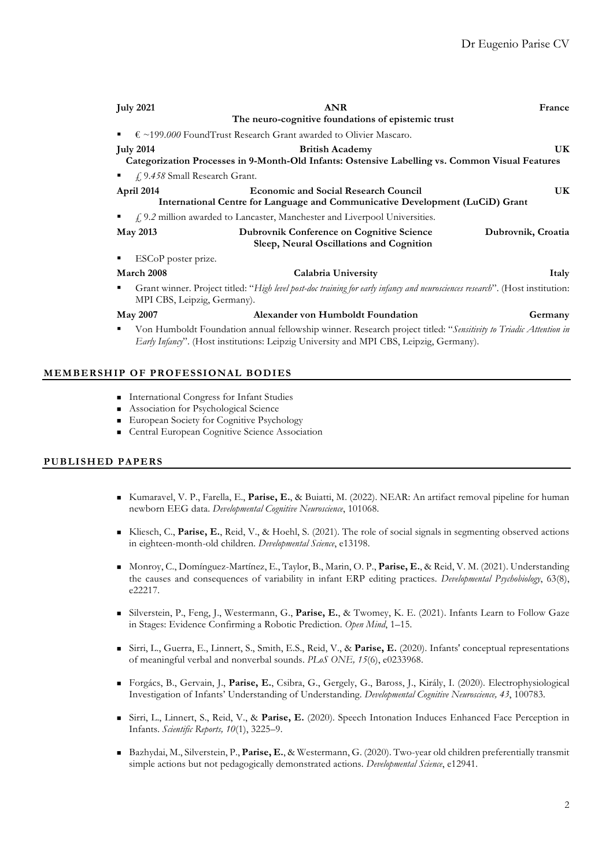| <b>July 2021</b>                    | France                                                                                                                                                                                                    |                    |
|-------------------------------------|-----------------------------------------------------------------------------------------------------------------------------------------------------------------------------------------------------------|--------------------|
|                                     | The neuro-cognitive foundations of epistemic trust                                                                                                                                                        |                    |
| ٠                                   | $\epsilon$ ~199.000 FoundTrust Research Grant awarded to Olivier Mascaro.                                                                                                                                 |                    |
| <b>July 2014</b>                    | UK                                                                                                                                                                                                        |                    |
|                                     | Categorization Processes in 9-Month-Old Infants: Ostensive Labelling vs. Common Visual Features                                                                                                           |                    |
| f. 9.458 Small Research Grant.<br>٠ |                                                                                                                                                                                                           |                    |
| April 2014                          | <b>Economic and Social Research Council</b><br>International Centre for Language and Communicative Development (LuCiD) Grant                                                                              | UK                 |
|                                     | $\oint$ , 9.2 million awarded to Lancaster, Manchester and Liverpool Universities.                                                                                                                        |                    |
| <b>May 2013</b>                     | <b>Dubrovnik Conference on Cognitive Science</b><br>Sleep, Neural Oscillations and Cognition                                                                                                              | Dubrovnik, Croatia |
| ESCoP poster prize.                 |                                                                                                                                                                                                           |                    |
| March 2008                          | Calabria University                                                                                                                                                                                       | Italy              |
| ٠<br>MPI CBS, Leipzig, Germany).    | Grant winner. Project titled: "High level post-doc training for early infancy and neurosciences research". (Host institution:                                                                             |                    |
| <b>May 2007</b>                     | Alexander von Humboldt Foundation                                                                                                                                                                         | Germany            |
| ٠                                   | Von Humboldt Foundation annual fellowship winner. Research project titled: "Sensitivity to Triadic Attention in<br>Early Infancy". (Host institutions: Leipzig University and MPI CBS, Leipzig, Germany). |                    |

## **MEMBERSHIP OF PROFESSIONAL BODIES**

- <sup>n</sup> International Congress for Infant Studies
- <sup>n</sup> Association for Psychological Science
- <sup>n</sup> European Society for Cognitive Psychology
- <sup>n</sup> Central European Cognitive Science Association

# **PUBLISHED PAPERS**

- <sup>n</sup> Kumaravel, V. P., Farella, E., **Parise, E.**, & Buiatti, M. (2022). NEAR: An artifact removal pipeline for human newborn EEG data. *Developmental Cognitive Neuroscience*, 101068.
- <sup>n</sup> Kliesch, C., **Parise, E.**, Reid, V., & Hoehl, S. (2021). The role of social signals in segmenting observed actions in eighteen-month-old children. *Developmental Science*, e13198.
- <sup>n</sup> Monroy, C., Domínguez-Martínez, E., Taylor, B., Marin, O. P., **Parise, E.**, & Reid, V. M. (2021). Understanding the causes and consequences of variability in infant ERP editing practices. *Developmental Psychobiology*, 63(8), e22217.
- <sup>n</sup> Silverstein, P., Feng, J., Westermann, G., **Parise, E.**, & Twomey, K. E. (2021). Infants Learn to Follow Gaze in Stages: Evidence Confirming a Robotic Prediction. *Open Mind*, 1–15.
- <sup>n</sup> Sirri, L., Guerra, E., Linnert, S., Smith, E.S., Reid, V., & **Parise, E.** (2020). Infants' conceptual representations of meaningful verbal and nonverbal sounds. *PLoS ONE, 15*(6), e0233968.
- <sup>n</sup> Forgács, B., Gervain, J., **Parise, E.**, Csibra, G., Gergely, G., Baross, J., Király, I. (2020). Electrophysiological Investigation of Infants' Understanding of Understanding. *Developmental Cognitive Neuroscience, 43*, 100783.
- <sup>n</sup> Sirri, L., Linnert, S., Reid, V., & **Parise, E.** (2020). Speech Intonation Induces Enhanced Face Perception in Infants. *Scientific Reports, 10*(1), 3225–9.
- <sup>n</sup> Bazhydai, M., Silverstein, P., **Parise, E.**, & Westermann, G. (2020). Two-year old children preferentially transmit simple actions but not pedagogically demonstrated actions. *Developmental Science*, e12941.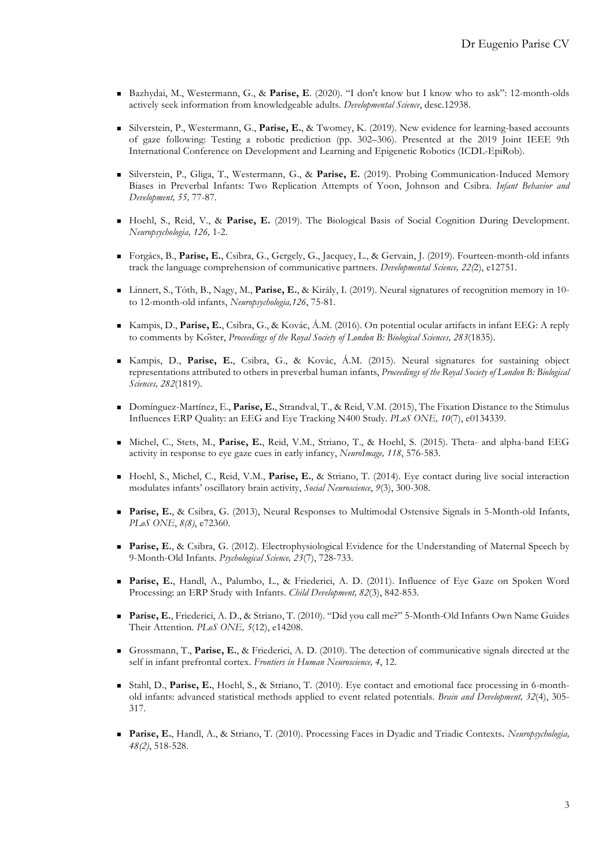- <sup>n</sup> Bazhydai, M., Westermann, G., & **Parise, E**. (2020). "I don't know but I know who to ask": 12-month-olds actively seek information from knowledgeable adults. *Developmental Science*, desc.12938.
- <sup>n</sup> Silverstein, P., Westermann, G., **Parise, E.**, & Twomey, K. (2019). New evidence for learning-based accounts of gaze following: Testing a robotic prediction (pp. 302–306). Presented at the 2019 Joint IEEE 9th International Conference on Development and Learning and Epigenetic Robotics (ICDL-EpiRob).
- <sup>n</sup> Silverstein, P., Gliga, T., Westermann, G., & **Parise, E.** (2019). Probing Communication-Induced Memory Biases in Preverbal Infants: Two Replication Attempts of Yoon, Johnson and Csibra. *Infant Behavior and Development, 55,* 77-87.
- <sup>n</sup> Hoehl, S., Reid, V., & **Parise, E.** (2019). The Biological Basis of Social Cognition During Development. *Neuropsychologia, 126,* 1-2.
- <sup>n</sup> Forgács, B., **Parise, E.**, Csibra, G., Gergely, G., Jacquey, L., & Gervain, J. (2019). Fourteen-month-old infants track the language comprehension of communicative partners. *Developmental Science, 22(*2), e12751.
- <sup>n</sup> Linnert, S., Tóth, B., Nagy, M., **Parise, E.**, & Király, I. (2019). Neural signatures of recognition memory in 10 to 12-month-old infants, *Neuropsychologia,126*, 75-81.
- <sup>n</sup> Kampis, D., **Parise, E.**, Csibra, G., & Kovác, Á.M. (2016). On potential ocular artifacts in infant EEG: A reply to comments by Köster, *Proceedings of the Royal Society of London B: Biological Sciences, 283*(1835).
- <sup>n</sup> Kampis, D., **Parise, E.**, Csibra, G., & Kovác, Á.M. (2015). Neural signatures for sustaining object representations attributed to others in preverbal human infants, *Proceedings of the Royal Society of London B: Biological Sciences, 282*(1819).
- <sup>n</sup> Domínguez-Martínez, E., **Parise, E.**, Strandval, T., & Reid, V.M. (2015), The Fixation Distance to the Stimulus Influences ERP Quality: an EEG and Eye Tracking N400 Study. *PLoS ONE, 10*(7), e0134339.
- <sup>n</sup> Michel, C., Stets, M., **Parise, E.**, Reid, V.M., Striano, T., & Hoehl, S. (2015). Theta- and alpha-band EEG activity in response to eye gaze cues in early infancy, *NeuroImage, 118*, 576-583.
- <sup>n</sup> Hoehl, S., Michel, C., Reid, V.M., **Parise, E.**, & Striano, T. (2014). Eye contact during live social interaction modulates infants' oscillatory brain activity, *Social Neuroscience*, *9*(3), 300-308.
- <sup>n</sup> **Parise, E.**, & Csibra, G. (2013), Neural Responses to Multimodal Ostensive Signals in 5-Month-old Infants, *PLoS ONE*, *8(8)*, e72360.
- **Parise, E.**, & Csibra, G. (2012). Electrophysiological Evidence for the Understanding of Maternal Speech by 9-Month-Old Infants. *Psychological Science, 23*(7), 728-733.
- <sup>n</sup> **Parise, E.**, Handl, A., Palumbo, L., & Friederici, A. D. (2011). Influence of Eye Gaze on Spoken Word Processing: an ERP Study with Infants. *Child Development, 82*(3), 842-853.
- <sup>n</sup> **Parise, E.**, Friederici, A. D., & Striano, T. (2010). "Did you call me?" 5-Month-Old Infants Own Name Guides Their Attention. *PLoS ONE, 5*(12), e14208.
- <sup>n</sup> Grossmann, T., **Parise, E.**, & Friederici, A. D. (2010). The detection of communicative signals directed at the self in infant prefrontal cortex. *Frontiers in Human Neuroscience, 4*, 12.
- <sup>n</sup> Stahl, D., **Parise, E.**, Hoehl, S., & Striano, T. (2010). Eye contact and emotional face processing in 6-monthold infants: advanced statistical methods applied to event related potentials. *Brain and Development, 32*(4), 305- 317.
- <sup>n</sup> **Parise, E.**, Handl, A., & Striano, T. (2010). Processing Faces in Dyadic and Triadic Contexts. *Neuropsychologia, 48(2)*, 518-528.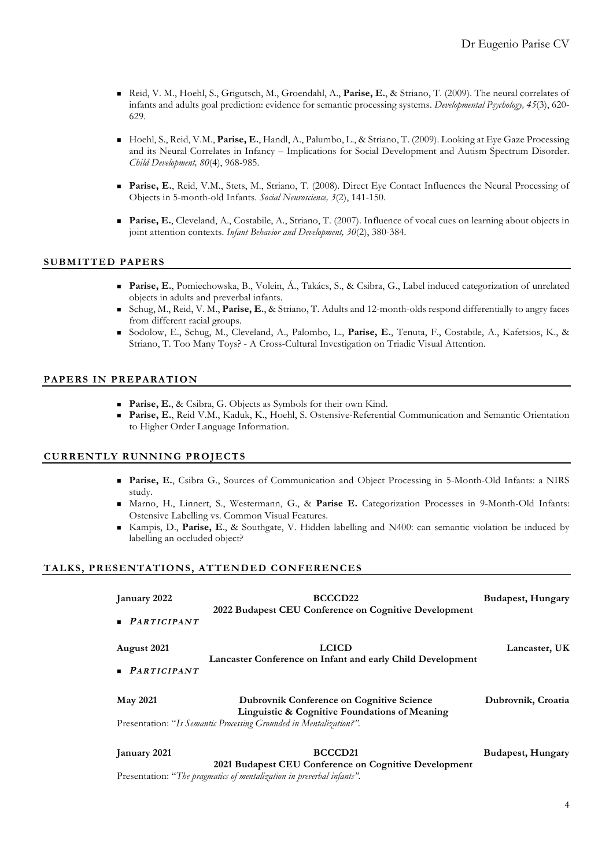- <sup>n</sup> Reid, V. M., Hoehl, S., Grigutsch, M., Groendahl, A., **Parise, E.**, & Striano, T. (2009). The neural correlates of infants and adults goal prediction: evidence for semantic processing systems. *Developmental Psychology, 45*(3), 620- 629.
- <sup>n</sup> Hoehl, S., Reid, V.M., **Parise, E.**, Handl, A., Palumbo, L., & Striano, T. (2009). Looking at Eye Gaze Processing and its Neural Correlates in Infancy – Implications for Social Development and Autism Spectrum Disorder. *Child Development, 80*(4), 968-985.
- <sup>n</sup> **Parise, E.**, Reid, V.M., Stets, M., Striano, T. (2008). Direct Eye Contact Influences the Neural Processing of Objects in 5-month-old Infants. *Social Neuroscience, 3*(2), 141-150.
- **Parise, E.**, Cleveland, A., Costabile, A., Striano, T. (2007). Influence of vocal cues on learning about objects in joint attention contexts. *Infant Behavior and Development, 30*(2), 380-384.

### **SUBMITTED PAPERS**

- <sup>n</sup> **Parise, E.**, Pomiechowska, B., Volein, Á., Takács, S., & Csibra, G., Label induced categorization of unrelated objects in adults and preverbal infants.
- <sup>n</sup> Schug, M., Reid, V. M., **Parise, E.**, & Striano, T. Adults and 12-month-olds respond differentially to angry faces from different racial groups.
- <sup>n</sup> Sodolow, E., Schug, M., Cleveland, A., Palombo, L., **Parise, E.**, Tenuta, F., Costabile, A., Kafetsios, K., & Striano, T. Too Many Toys? - A Cross-Cultural Investigation on Triadic Visual Attention.

## **PAPERS IN PREPARATION**

- **Parise, E., & Csibra, G. Objects as Symbols for their own Kind.**
- <sup>n</sup> **Parise, E.**, Reid V.M., Kaduk, K., Hoehl, S. Ostensive-Referential Communication and Semantic Orientation to Higher Order Language Information.

### **CURRENTLY RUNNING PROJECTS**

- <sup>n</sup> **Parise, E.**, Csibra G., Sources of Communication and Object Processing in 5-Month-Old Infants: a NIRS study.
- <sup>n</sup> Marno, H., Linnert, S., Westermann, G., & **Parise E.** Categorization Processes in 9-Month-Old Infants: Ostensive Labelling vs. Common Visual Features.
- <sup>n</sup> Kampis, D., **Parise, E**., & Southgate, V. Hidden labelling and N400: can semantic violation be induced by labelling an occluded object?

### **TALKS, PRESENTATIONS, ATTENDED CONFERENCES**

| January 2022               | BCCCD <sub>22</sub><br>2022 Budapest CEU Conference on Cognitive Development                      | Budapest, Hungary  |  |
|----------------------------|---------------------------------------------------------------------------------------------------|--------------------|--|
| $\blacksquare$ PARTICIPANT |                                                                                                   |                    |  |
| August 2021                | <b>LCICD</b>                                                                                      | Lancaster, UK      |  |
| $\blacksquare$ PARTICIPANT | Lancaster Conference on Infant and early Child Development                                        |                    |  |
| <b>May 2021</b>            | <b>Dubrovnik Conference on Cognitive Science</b><br>Linguistic & Cognitive Foundations of Meaning | Dubrovnik, Croatia |  |
|                            | Presentation: "Is Semantic Processing Grounded in Mentalization?".                                |                    |  |
| January 2021               | BCCCD <sub>21</sub>                                                                               | Budapest, Hungary  |  |

**2021 Budapest CEU Conference on Cognitive Development** Presentation: "*The pragmatics of mentalization in preverbal infants".*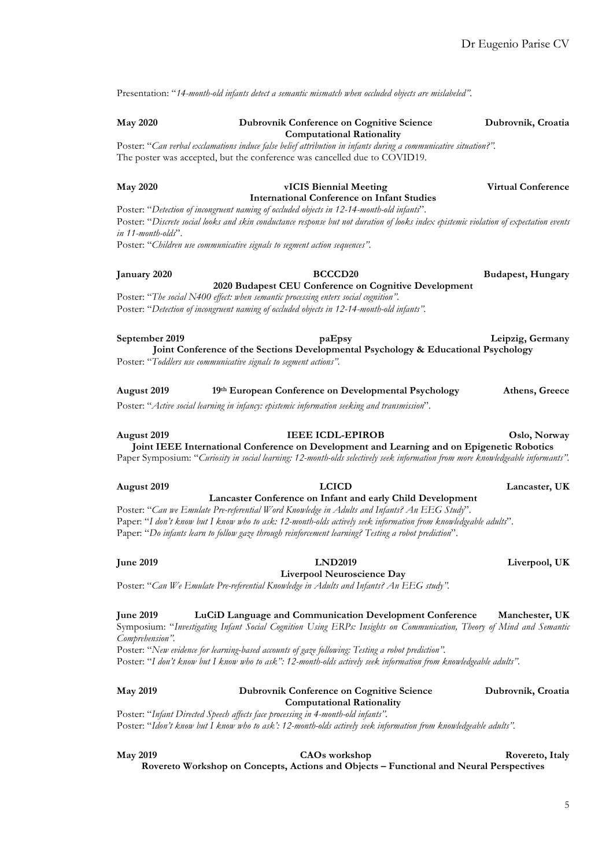Presentation: "*14-month-old infants detect a semantic mismatch when occluded objects are mislabeled".*

### **May 2020 Dubrovnik Conference on Cognitive Science Dubrovnik, Croatia Computational Rationality**

Poster: "*Can verbal exclamations induce false belief attribution in infants during a communicative situation?".* The poster was accepted, but the conference was cancelled due to COVID19.

| <b>May 2020</b>    | <b>Virtual Conference</b>                                                                                                              |  |  |
|--------------------|----------------------------------------------------------------------------------------------------------------------------------------|--|--|
|                    | International Conference on Infant Studies                                                                                             |  |  |
|                    | Poster: "Detection of incongruent naming of occluded objects in 12-14-month-old infants".                                              |  |  |
|                    | Poster: "Discrete social looks and skin conductance response but not duration of looks index epistemic violation of expectation events |  |  |
| in 11-month-olds". |                                                                                                                                        |  |  |

Poster: "*Children use communicative signals to segment action sequences".*

# **January 2020 BCCCD20 Budapest, Hungary**

### **2020 Budapest CEU Conference on Cognitive Development**

Poster: "*The social N400 effect: when semantic processing enters social cognition".* Poster: "*Detection of incongruent naming of occluded objects in 12-14-month-old infants".*

**September 2019 paEpsy Leipzig, Germany Joint Conference of the Sections Developmental Psychology & Educational Psychology** Poster: "*Toddlers use communicative signals to segment actions".*

**August 2019 19th European Conference on Developmental Psychology Athens, Greece** Poster: "*Active social learning in infancy: epistemic information seeking and transmission*".

# **August 2019 IEEE ICDL-EPIROB Oslo, Norway Joint IEEE International Conference on Development and Learning and on Epigenetic Robotics**

Paper Symposium: "*Curiosity in social learning: 12-month-olds selectively seek information from more knowledgeable informants".*

#### **August 2019 LCICD Lancaster, UK Lancaster Conference on Infant and early Child Development**

Poster: "*Can we Emulate Pre-referential Word Knowledge in Adults and Infants? An EEG Study*". Paper: "*I don't know but I know who to ask: 12-month-olds actively seek information from knowledgeable adults*". Paper: "*Do infants learn to follow gaze through reinforcement learning? Testing a robot prediction*".

# **June 2019 LND2019 Liverpool, UK**

**Liverpool Neuroscience Day**

Poster: "*Can We Emulate Pre-referential Knowledge in Adults and Infants? An EEG study".*

### **June 2019 LuCiD Language and Communication Development Conference Manchester, UK**

Symposium: "*Investigating Infant Social Cognition Using ERPs: Insights on Communication, Theory of Mind and Semantic Comprehension".*

Poster: "*New evidence for learning-based accounts of gaze following: Testing a robot prediction".*

Poster: "*I don't know but I know who to ask": 12-month-olds actively seek information from knowledgeable adults".*

### **May 2019 Dubrovnik Conference on Cognitive Science Dubrovnik, Croatia**

## **Computational Rationality**

Poster: "*Infant Directed Speech affects face processing in 4-month-old infants".* Poster: "*Idon't know but I know who to ask': 12-month-olds actively seek information from knowledgeable adults".*

**May 2019 CAOs workshop Rovereto, Italy Rovereto Workshop on Concepts, Actions and Objects – Functional and Neural Perspectives**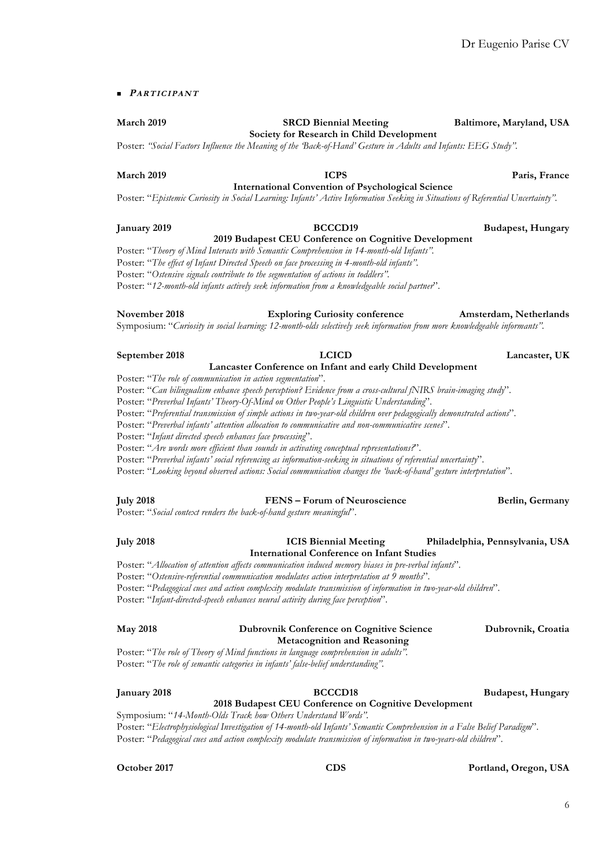# n **PARTICIPANT**

# **March** 2019 **SRCD Biennial Meeting Baltimore, Maryland, USA**

**Society for Research in Child Development** Poster: *"Social Factors Influence the Meaning of the 'Back-of-Hand' Gesture in Adults and Infants: EEG Study".*

#### **March 2019 ICPS Paris, France International Convention of Psychological Science**

Poster: "*Epistemic Curiosity in Social Learning: Infants' Active Information Seeking in Situations of Referential Uncertainty".*

#### **January 2019 BCCCD19 Budapest, Hungary 2019 Budapest CEU Conference on Cognitive Development**

Poster: "*Theory of Mind Interacts with Semantic Comprehension in 14-month-old Infants".*

Poster: "*The effect of Infant Directed Speech on face processing in 4-month-old infants".*

Poster: "*Ostensive signals contribute to the segmentation of actions in toddlers".*

Poster: "*12-month-old infants actively seek information from a knowledgeable social partner*".

Symposium: "*Curiosity in social learning: 12-month-olds selectively seek information from more knowledgeable informants".*

#### **September 2018 LCICD Lancaster, UK Lancaster Conference on Infant and early Child Development**

Poster: "*The role of communication in action segmentation*".

Poster: "*Can bilingualism enhance speech perception? Evidence from a cross-cultural fNIRS brain-imaging study*".

Poster: "*Preverbal Infants' Theory-Of-Mind on Other People's Linguistic Understanding*".

Poster: "*Preferential transmission of simple actions in two-year-old children over pedagogically demonstrated actions*".

Poster: "*Preverbal infants' attention allocation to communicative and non-communicative scenes*".

Poster: "*Infant directed speech enhances face processing*".

Poster: "*Are words more efficient than sounds in activating conceptual representations?*".

Poster: "*Preverbal infants' social referencing as information-seeking in situations of referential uncertainty*".

Poster: "*Looking beyond observed actions: Social communication changes the 'back-of-hand' gesture interpretation*".

# **July 2018 FENS – Forum of Neuroscience Berlin, Germany**

Poster: "*Social context renders the back-of-hand gesture meaningful*".

### **July 2018 ICIS Biennial Meeting Philadelphia, Pennsylvania, USA International Conference on Infant Studies**

Poster: "*Allocation of attention affects communication induced memory biases in pre-verbal infants*".

Poster: "*Ostensive-referential communication modulates action interpretation at 9 months*".

Poster: "*Pedagogical cues and action complexity modulate transmission of information in two-year-old children*".

Poster: "*Infant-directed-speech enhances neural activity during face perception*".

### **May 2018 Dubrovnik Conference on Cognitive Science Dubrovnik, Croatia Metacognition and Reasoning**

Poster: "*The role of Theory of Mind functions in language comprehension in adults".* Poster: "*The role of semantic categories in infants' false-belief understanding".*

### **January 2018 BCCCD18 Budapest, Hungary 2018 Budapest CEU Conference on Cognitive Development**

Symposium: "*14-Month-Olds Track how Others Understand Words".* Poster: "*Electrophysiological Investigation of 14-month-old Infants' Semantic Comprehension in a False Belief Paradigm*". Poster: "*Pedagogical cues and action complexity modulate transmission of information in two-years-old children*".

**October 2017 CDS Portland, Oregon, USA**

**November 2018 Exploring Curiosity conference Amsterdam, Netherlands**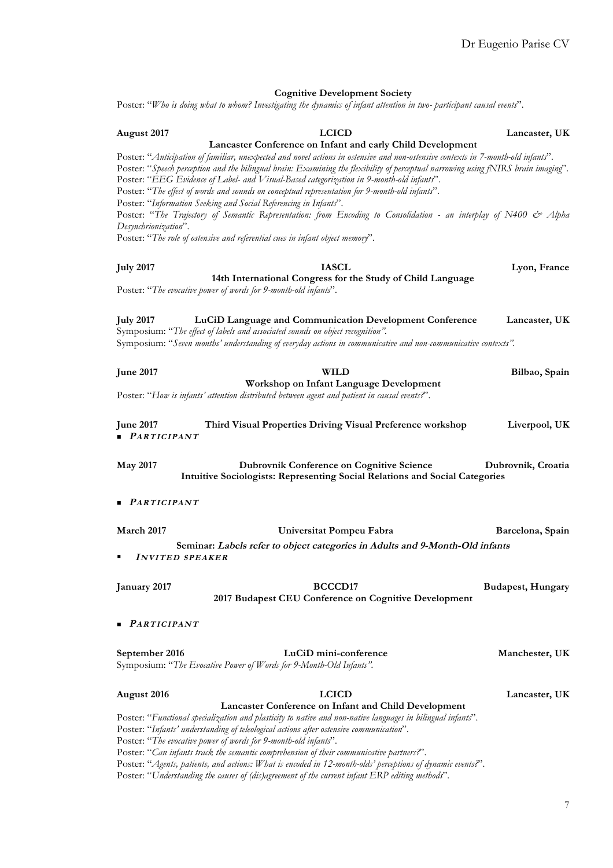|                                                | <b>Cognitive Development Society</b>                                                                                                                                                                                                                                                                                                                                                                                                                                                                                                    |                          |
|------------------------------------------------|-----------------------------------------------------------------------------------------------------------------------------------------------------------------------------------------------------------------------------------------------------------------------------------------------------------------------------------------------------------------------------------------------------------------------------------------------------------------------------------------------------------------------------------------|--------------------------|
|                                                | Poster: "Who is doing what to whom? Investigating the dynamics of infant attention in two-participant causal events".                                                                                                                                                                                                                                                                                                                                                                                                                   |                          |
|                                                |                                                                                                                                                                                                                                                                                                                                                                                                                                                                                                                                         |                          |
| August 2017                                    | <b>LCICD</b>                                                                                                                                                                                                                                                                                                                                                                                                                                                                                                                            | Lancaster, UK            |
|                                                | Lancaster Conference on Infant and early Child Development                                                                                                                                                                                                                                                                                                                                                                                                                                                                              |                          |
|                                                | Poster: "Anticipation of familiar, unexpected and novel actions in ostensive and non-ostensive contexts in 7-month-old infants".<br>Poster: "Speech perception and the bilingual brain: Examining the flexibility of perceptual narrowing using fNIRS brain imaging".<br>Poster: "EEG Evidence of Label- and Visual-Based categorization in 9-month-old infants".<br>Poster: "The effect of words and sounds on conceptual representation for 9-month-old infants".<br>Poster: "Information Seeking and Social Referencing in Infants". |                          |
| Desynchrionization".                           | Poster: "The Trajectory of Semantic Representation: from Encoding to Consolidation - an interplay of N400 & Alpha                                                                                                                                                                                                                                                                                                                                                                                                                       |                          |
|                                                | Poster: "The role of ostensive and referential cues in infant object memory".                                                                                                                                                                                                                                                                                                                                                                                                                                                           |                          |
|                                                |                                                                                                                                                                                                                                                                                                                                                                                                                                                                                                                                         |                          |
|                                                |                                                                                                                                                                                                                                                                                                                                                                                                                                                                                                                                         |                          |
| <b>July 2017</b>                               | <b>IASCL</b>                                                                                                                                                                                                                                                                                                                                                                                                                                                                                                                            | Lyon, France             |
|                                                | 14th International Congress for the Study of Child Language<br>Poster: "The evocative power of words for 9-month-old infants".                                                                                                                                                                                                                                                                                                                                                                                                          |                          |
| <b>July 2017</b>                               | LuCiD Language and Communication Development Conference<br>Symposium: "The effect of labels and associated sounds on object recognition".                                                                                                                                                                                                                                                                                                                                                                                               | Lancaster, UK            |
|                                                | Symposium: "Seven months' understanding of everyday actions in communicative and non-communicative contexts".                                                                                                                                                                                                                                                                                                                                                                                                                           |                          |
|                                                |                                                                                                                                                                                                                                                                                                                                                                                                                                                                                                                                         |                          |
| <b>June 2017</b>                               | <b>WILD</b>                                                                                                                                                                                                                                                                                                                                                                                                                                                                                                                             | Bilbao, Spain            |
|                                                | Workshop on Infant Language Development                                                                                                                                                                                                                                                                                                                                                                                                                                                                                                 |                          |
|                                                | Poster: "How is infants' attention distributed between agent and patient in causal events?".                                                                                                                                                                                                                                                                                                                                                                                                                                            |                          |
|                                                |                                                                                                                                                                                                                                                                                                                                                                                                                                                                                                                                         |                          |
| <b>June 2017</b><br>$\blacksquare$ PARTICIPANT | Third Visual Properties Driving Visual Preference workshop                                                                                                                                                                                                                                                                                                                                                                                                                                                                              | Liverpool, UK            |
| <b>May 2017</b>                                | <b>Dubrovnik Conference on Cognitive Science</b><br>Intuitive Sociologists: Representing Social Relations and Social Categories                                                                                                                                                                                                                                                                                                                                                                                                         | Dubrovnik, Croatia       |
| <b>PARTICIPANT</b>                             |                                                                                                                                                                                                                                                                                                                                                                                                                                                                                                                                         |                          |
| March 2017                                     | Universitat Pompeu Fabra                                                                                                                                                                                                                                                                                                                                                                                                                                                                                                                | Barcelona, Spain         |
|                                                |                                                                                                                                                                                                                                                                                                                                                                                                                                                                                                                                         |                          |
| <b>INVITED SPEAKER</b>                         | Seminar: Labels refer to object categories in Adults and 9-Month-Old infants                                                                                                                                                                                                                                                                                                                                                                                                                                                            |                          |
| January 2017                                   | BCCCD17<br>2017 Budapest CEU Conference on Cognitive Development                                                                                                                                                                                                                                                                                                                                                                                                                                                                        | <b>Budapest, Hungary</b> |
| <b>PARTICIPANT</b>                             |                                                                                                                                                                                                                                                                                                                                                                                                                                                                                                                                         |                          |
| September 2016                                 | LuCiD mini-conference<br>Symposium: "The Evocative Power of Words for 9-Month-Old Infants".                                                                                                                                                                                                                                                                                                                                                                                                                                             | Manchester, UK           |
| <b>August</b> 2016                             | <b>LCICD</b>                                                                                                                                                                                                                                                                                                                                                                                                                                                                                                                            | Lancaster, UK            |
|                                                | Lancaster Conference on Infant and Child Development<br>Poster: "Functional specialization and plasticity to native and non-native languages in bilingual infants".<br>Poster: "Infants' understanding of teleological actions after ostensive communication".<br>Poster: "The evocative power of words for 9-month-old infants".<br>Poster: "Can infants track the semantic comprehension of their communicative partners?".                                                                                                           |                          |
|                                                | Poster: "Agents, patients, and actions: What is encoded in 12-month-olds' perceptions of dynamic events?".                                                                                                                                                                                                                                                                                                                                                                                                                              |                          |

Poster: "*Understanding the causes of (dis)agreement of the current infant ERP editing methods*".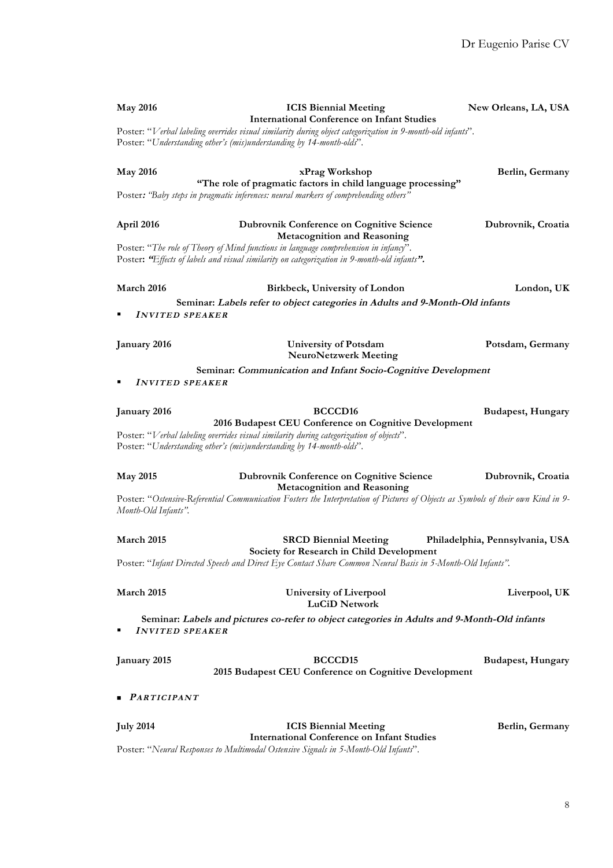| <b>May 2016</b>                                                                 | <b>ICIS Biennial Meeting</b><br><b>International Conference on Infant Studies</b><br>Poster: "Verbal labeling overrides visual similarity during object categorization in 9-month-old infants".<br>Poster: "Understanding other's (mis)understanding by 14-month-olds". | New Orleans, LA, USA            |
|---------------------------------------------------------------------------------|-------------------------------------------------------------------------------------------------------------------------------------------------------------------------------------------------------------------------------------------------------------------------|---------------------------------|
| <b>May 2016</b><br>"The role of pragmatic factors in child language processing" | Berlin, Germany                                                                                                                                                                                                                                                         |                                 |
|                                                                                 | Poster: 'Baby steps in pragmatic inferences: neural markers of comprehending others"                                                                                                                                                                                    |                                 |
| April 2016                                                                      | <b>Dubrovnik Conference on Cognitive Science</b><br><b>Metacognition and Reasoning</b>                                                                                                                                                                                  | Dubrovnik, Croatia              |
|                                                                                 | Poster: "The role of Theory of Mind functions in language comprehension in infancy".<br>Poster: "Effects of labels and visual similarity on categorization in 9-month-old infants".                                                                                     |                                 |
| March 2016                                                                      | Birkbeck, University of London                                                                                                                                                                                                                                          | London, UK                      |
| <b>INVITED SPEAKER</b>                                                          | Seminar: Labels refer to object categories in Adults and 9-Month-Old infants                                                                                                                                                                                            |                                 |
| January 2016                                                                    | <b>University of Potsdam</b><br><b>NeuroNetzwerk Meeting</b>                                                                                                                                                                                                            | Potsdam, Germany                |
| <b>INVITED SPEAKER</b>                                                          | Seminar: Communication and Infant Socio-Cognitive Development                                                                                                                                                                                                           |                                 |
|                                                                                 |                                                                                                                                                                                                                                                                         |                                 |
| January 2016                                                                    | <b>BCCCD16</b><br>2016 Budapest CEU Conference on Cognitive Development<br>Poster: "Verbal labeling overrides visual similarity during categorization of objects".<br>Poster: "Understanding other's (mis)understanding by 14-month-olds".                              | <b>Budapest, Hungary</b>        |
| <b>May 2015</b>                                                                 | <b>Dubrovnik Conference on Cognitive Science</b><br><b>Metacognition and Reasoning</b>                                                                                                                                                                                  | Dubrovnik, Croatia              |
| Month-Old Infants".                                                             | Poster: "Ostensive-Referential Communication Fosters the Interpretation of Pictures of Objects as Symbols of their own Kind in 9-                                                                                                                                       |                                 |
| March 2015                                                                      | <b>SRCD Biennial Meeting</b><br>Society for Research in Child Development                                                                                                                                                                                               | Philadelphia, Pennsylvania, USA |
|                                                                                 | Poster: "Infant Directed Speech and Direct Eye Contact Share Common Neural Basis in 5-Month-Old Infants".                                                                                                                                                               |                                 |
| March 2015                                                                      | <b>University of Liverpool</b><br><b>LuCiD Network</b>                                                                                                                                                                                                                  | Liverpool, UK                   |
| <b>INVITED SPEAKER</b>                                                          | Seminar: Labels and pictures co-refer to object categories in Adults and 9-Month-Old infants                                                                                                                                                                            |                                 |
| January 2015                                                                    | <b>BCCCD15</b><br>2015 Budapest CEU Conference on Cognitive Development                                                                                                                                                                                                 | <b>Budapest, Hungary</b>        |
| <b>PARTICIPANT</b>                                                              |                                                                                                                                                                                                                                                                         |                                 |
| <b>July 2014</b>                                                                | <b>ICIS Biennial Meeting</b><br><b>International Conference on Infant Studies</b>                                                                                                                                                                                       | Berlin, Germany                 |
|                                                                                 | Poster: "Neural Responses to Multimodal Ostensive Signals in 5-Month-Old Infants".                                                                                                                                                                                      |                                 |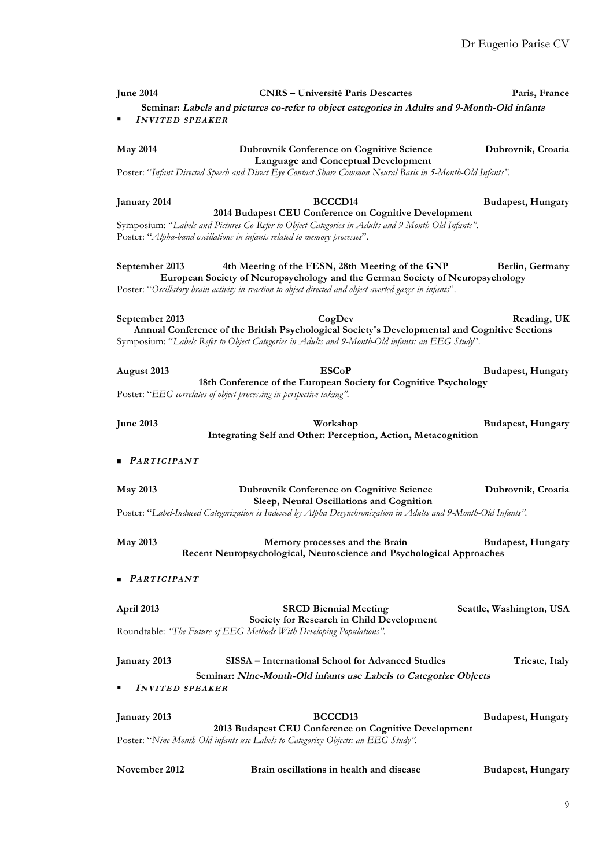| <b>June 2014</b>                                                                                 | <b>CNRS</b> – Université Paris Descartes                                                                                                                                                                                                                       | Paris, France            |
|--------------------------------------------------------------------------------------------------|----------------------------------------------------------------------------------------------------------------------------------------------------------------------------------------------------------------------------------------------------------------|--------------------------|
| <b>INVITED SPEAKER</b>                                                                           | Seminar: Labels and pictures co-refer to object categories in Adults and 9-Month-Old infants                                                                                                                                                                   |                          |
| <b>May 2014</b>                                                                                  | <b>Dubrovnik Conference on Cognitive Science</b><br><b>Language and Conceptual Development</b>                                                                                                                                                                 | Dubrovnik, Croatia       |
|                                                                                                  | Poster: "Infant Directed Speech and Direct Eye Contact Share Common Neural Basis in 5-Month-Old Infants".                                                                                                                                                      |                          |
| January 2014                                                                                     | BCCCD <sub>14</sub><br>2014 Budapest CEU Conference on Cognitive Development<br>Symposium: "Labels and Pictures Co-Refer to Object Categories in Adults and 9-Month-Old Infants".<br>Poster: "Alpha-band oscillations in infants related to memory processes". | <b>Budapest, Hungary</b> |
| September 2013                                                                                   | 4th Meeting of the FESN, 28th Meeting of the GNP<br>European Society of Neuropsychology and the German Society of Neuropsychology<br>Poster: "Oscillatory brain activity in reaction to object-directed and object-averted gazes in infants".                  | Berlin, Germany          |
| September 2013                                                                                   | CogDev<br>Annual Conference of the British Psychological Society's Developmental and Cognitive Sections<br>Symposium: "Labels Refer to Object Categories in Adults and 9-Month-Old infants: an EEG Study".                                                     | Reading, UK              |
| August 2013                                                                                      | <b>ESCoP</b><br>18th Conference of the European Society for Cognitive Psychology<br>Poster: "EEG correlates of object processing in perspective taking".                                                                                                       | <b>Budapest, Hungary</b> |
| <b>June 2013</b>                                                                                 | Workshop<br>Integrating Self and Other: Perception, Action, Metacognition                                                                                                                                                                                      | <b>Budapest, Hungary</b> |
| <b>PARTICIPANT</b>                                                                               |                                                                                                                                                                                                                                                                |                          |
| <b>May 2013</b>                                                                                  | <b>Dubrovnik Conference on Cognitive Science</b><br>Sleep, Neural Oscillations and Cognition                                                                                                                                                                   | Dubrovnik, Croatia       |
|                                                                                                  | Poster: "Label-Induced Categorization is Indexed by Alpha Desynchronization in Adults and 9-Month-Old Infants".                                                                                                                                                |                          |
| <b>May 2013</b>                                                                                  | Memory processes and the Brain<br>Recent Neuropsychological, Neuroscience and Psychological Approaches                                                                                                                                                         | <b>Budapest, Hungary</b> |
| $\blacksquare$ PARTICIPANT                                                                       |                                                                                                                                                                                                                                                                |                          |
| April 2013                                                                                       | <b>SRCD Biennial Meeting</b><br>Society for Research in Child Development                                                                                                                                                                                      | Seattle, Washington, USA |
|                                                                                                  | Roundtable: "The Future of EEG Methods With Developing Populations".                                                                                                                                                                                           |                          |
| January 2013<br><b>INVITED SPEAKER</b>                                                           | SISSA - International School for Advanced Studies<br>Seminar: Nine-Month-Old infants use Labels to Categorize Objects                                                                                                                                          | Trieste, Italy           |
| January 2013<br>Poster: "Nine-Month-Old infants use Labels to Categorize Objects: an EEG Study". | <b>Budapest, Hungary</b><br>2013 Budapest CEU Conference on Cognitive Development                                                                                                                                                                              |                          |
| November 2012                                                                                    | Brain oscillations in health and disease                                                                                                                                                                                                                       | <b>Budapest, Hungary</b> |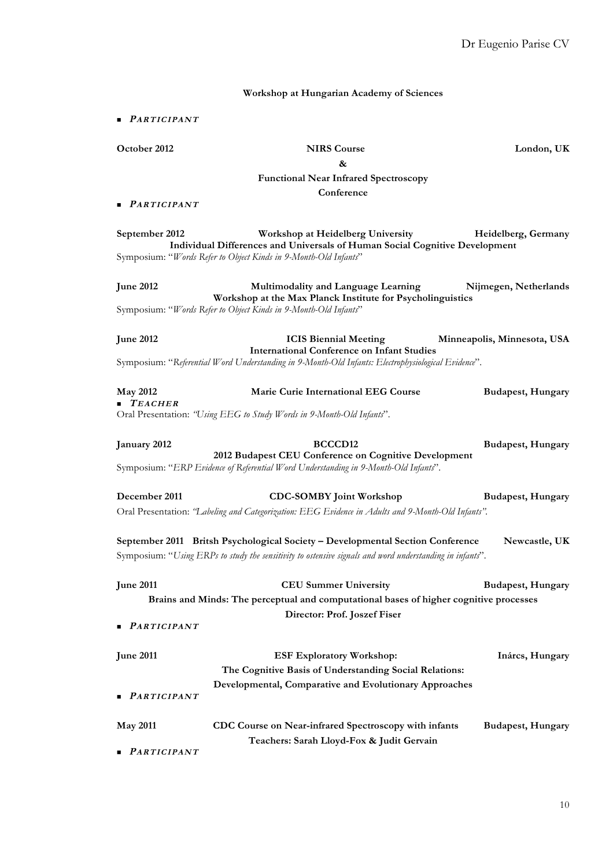### **Workshop at Hungarian Academy of Sciences**

n **PARTICIPANT**

**October 2012 NIRS Course London, UK**

**&**

# **Functional Near Infrared Spectroscopy**

**Conference**

n **PARTICIPANT**

**September 2012 Workshop at Heidelberg University Heidelberg, Germany Individual Differences and Universals of Human Social Cognitive Development** Symposium: "*Words Refer to Object Kinds in 9-Month-Old Infants*"

**June 2012 Multimodality and Language Learning Nijmegen, Netherlands Workshop at the Max Planck Institute for Psycholinguistics** Symposium: "*Words Refer to Object Kinds in 9-Month-Old Infants*"

**June 2012 ICIS Biennial Meeting Minneapolis, Minnesota, USA International Conference on Infant Studies** Symposium: "*Referential Word Understanding in 9-Month-Old Infants: Electrophysiological Evidence*".

**May 2012 Marie Curie International EEG Course Budapest, Hungary** n **TEACHER** Oral Presentation: *"Using EEG to Study Words in 9-Month-Old Infants*".

**January 2012 BCCCD12 Budapest, Hungary 2012 Budapest CEU Conference on Cognitive Development** Symposium: "*ERP Evidence of Referential Word Understanding in 9-Month-Old Infants*".

**December 2011** CDC-SOMBY Joint Workshop Budapest, Hungary Oral Presentation: *"Labeling and Categorization: EEG Evidence in Adults and 9-Month-Old Infants".*

**September 2011 Britsh Psychological Society – Developmental Section Conference Newcastle, UK** Symposium: "*Using ERPs to study the sensitivity to ostensive signals and word understanding in infants*".

**June 2011 CEU Summer University Budapest, Hungary Brains and Minds: The perceptual and computational bases of higher cognitive processes Director: Prof. Joszef Fiser**

n **PARTICIPANT**

| <b>June 2011</b>           | <b>ESF Exploratory Workshop:</b>                             | Inárcs, Hungary   |
|----------------------------|--------------------------------------------------------------|-------------------|
|                            | The Cognitive Basis of Understanding Social Relations:       |                   |
|                            | Developmental, Comparative and Evolutionary Approaches       |                   |
| $\blacksquare$ PARTICIPANT |                                                              |                   |
| <b>May 2011</b>            | <b>CDC</b> Course on Near-infrared Spectroscopy with infants | Budapest, Hungary |
|                            | Teachers: Sarah Lloyd-Fox & Judit Gervain                    |                   |

n **PARTICIPANT**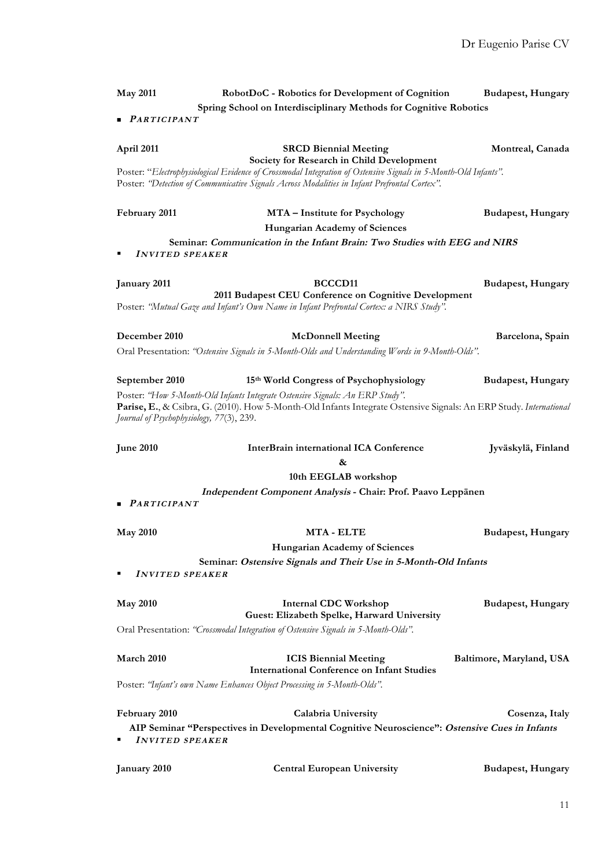| <b>May 2011</b>                          | RobotDoC - Robotics for Development of Cognition                                                                                                                                                                                                                                                                                                                                                                                                                                                                                                                                                                                                                   | <b>Budapest, Hungary</b>                     |
|------------------------------------------|--------------------------------------------------------------------------------------------------------------------------------------------------------------------------------------------------------------------------------------------------------------------------------------------------------------------------------------------------------------------------------------------------------------------------------------------------------------------------------------------------------------------------------------------------------------------------------------------------------------------------------------------------------------------|----------------------------------------------|
|                                          | Spring School on Interdisciplinary Methods for Cognitive Robotics                                                                                                                                                                                                                                                                                                                                                                                                                                                                                                                                                                                                  |                                              |
| $\blacksquare$ PARTICIPANT               |                                                                                                                                                                                                                                                                                                                                                                                                                                                                                                                                                                                                                                                                    |                                              |
| April 2011                               | Montreal, Canada                                                                                                                                                                                                                                                                                                                                                                                                                                                                                                                                                                                                                                                   |                                              |
|                                          | Poster: "Electrophysiological Evidence of Crossmodal Integration of Ostensive Signals in 5-Month-Old Infants".<br>Poster: "Detection of Communicative Signals Across Modalities in Infant Prefrontal Cortex".                                                                                                                                                                                                                                                                                                                                                                                                                                                      |                                              |
| February 2011                            | <b>MTA</b> – Institute for Psychology                                                                                                                                                                                                                                                                                                                                                                                                                                                                                                                                                                                                                              | <b>Budapest, Hungary</b>                     |
|                                          | Hungarian Academy of Sciences                                                                                                                                                                                                                                                                                                                                                                                                                                                                                                                                                                                                                                      |                                              |
| <b>INVITED SPEAKER</b><br>٠              | Seminar: Communication in the Infant Brain: Two Studies with EEG and NIRS                                                                                                                                                                                                                                                                                                                                                                                                                                                                                                                                                                                          |                                              |
| January 2011                             | <b>BCCCD11</b>                                                                                                                                                                                                                                                                                                                                                                                                                                                                                                                                                                                                                                                     | <b>Budapest, Hungary</b>                     |
|                                          | Poster: "Mutual Gaze and Infant's Own Name in Infant Prefrontal Cortex: a NIRS Study".                                                                                                                                                                                                                                                                                                                                                                                                                                                                                                                                                                             |                                              |
| December 2010                            |                                                                                                                                                                                                                                                                                                                                                                                                                                                                                                                                                                                                                                                                    |                                              |
|                                          |                                                                                                                                                                                                                                                                                                                                                                                                                                                                                                                                                                                                                                                                    |                                              |
|                                          |                                                                                                                                                                                                                                                                                                                                                                                                                                                                                                                                                                                                                                                                    |                                              |
| September 2010                           | 15th World Congress of Psychophysiology                                                                                                                                                                                                                                                                                                                                                                                                                                                                                                                                                                                                                            | <b>Budapest, Hungary</b>                     |
| Journal of Psychophysiology, 77(3), 239. | Parise, E., & Csibra, G. (2010). How 5-Month-Old Infants Integrate Ostensive Signals: An ERP Study. International                                                                                                                                                                                                                                                                                                                                                                                                                                                                                                                                                  |                                              |
| <b>June 2010</b>                         | InterBrain international ICA Conference                                                                                                                                                                                                                                                                                                                                                                                                                                                                                                                                                                                                                            | Jyväskylä, Finland                           |
|                                          |                                                                                                                                                                                                                                                                                                                                                                                                                                                                                                                                                                                                                                                                    |                                              |
|                                          |                                                                                                                                                                                                                                                                                                                                                                                                                                                                                                                                                                                                                                                                    |                                              |
| ■ <i>PARTICIPANT</i>                     |                                                                                                                                                                                                                                                                                                                                                                                                                                                                                                                                                                                                                                                                    |                                              |
| <b>May 2010</b>                          | <b>MTA - ELTE</b>                                                                                                                                                                                                                                                                                                                                                                                                                                                                                                                                                                                                                                                  | <b>Budapest, Hungary</b>                     |
|                                          | Hungarian Academy of Sciences                                                                                                                                                                                                                                                                                                                                                                                                                                                                                                                                                                                                                                      |                                              |
|                                          | Seminar: Ostensive Signals and Their Use in 5-Month-Old Infants                                                                                                                                                                                                                                                                                                                                                                                                                                                                                                                                                                                                    |                                              |
|                                          |                                                                                                                                                                                                                                                                                                                                                                                                                                                                                                                                                                                                                                                                    |                                              |
| <b>May 2010</b>                          | <b>Internal CDC Workshop</b>                                                                                                                                                                                                                                                                                                                                                                                                                                                                                                                                                                                                                                       | <b>Budapest, Hungary</b>                     |
|                                          | Oral Presentation: "Crossmodal Integration of Ostensive Signals in 5-Month-Olds".                                                                                                                                                                                                                                                                                                                                                                                                                                                                                                                                                                                  |                                              |
| March 2010                               |                                                                                                                                                                                                                                                                                                                                                                                                                                                                                                                                                                                                                                                                    |                                              |
|                                          | <b>International Conference on Infant Studies</b>                                                                                                                                                                                                                                                                                                                                                                                                                                                                                                                                                                                                                  |                                              |
|                                          |                                                                                                                                                                                                                                                                                                                                                                                                                                                                                                                                                                                                                                                                    |                                              |
| February 2010                            | Calabria University                                                                                                                                                                                                                                                                                                                                                                                                                                                                                                                                                                                                                                                | Cosenza, Italy                               |
| <b>INVITED SPEAKER</b>                   |                                                                                                                                                                                                                                                                                                                                                                                                                                                                                                                                                                                                                                                                    |                                              |
| January 2010                             | <b>Budapest, Hungary</b>                                                                                                                                                                                                                                                                                                                                                                                                                                                                                                                                                                                                                                           |                                              |
| <b>INVITED SPEAKER</b>                   | 2011 Budapest CEU Conference on Cognitive Development<br><b>McDonnell Meeting</b><br>Oral Presentation: "Ostensive Signals in 5-Month-Olds and Understanding Words in 9-Month-Olds".<br>Poster: "How 5-Month-Old Infants Integrate Ostensive Signals: An ERP Study".<br>&<br>10th EEGLAB workshop<br>Independent Component Analysis - Chair: Prof. Paavo Leppänen<br>Guest: Elizabeth Spelke, Harward University<br><b>ICIS Biennial Meeting</b><br>Poster: "Infant's own Name Enhances Object Processing in 5-Month-Olds".<br>AIP Seminar "Perspectives in Developmental Cognitive Neuroscience": Ostensive Cues in Infants<br><b>Central European University</b> | Barcelona, Spain<br>Baltimore, Maryland, USA |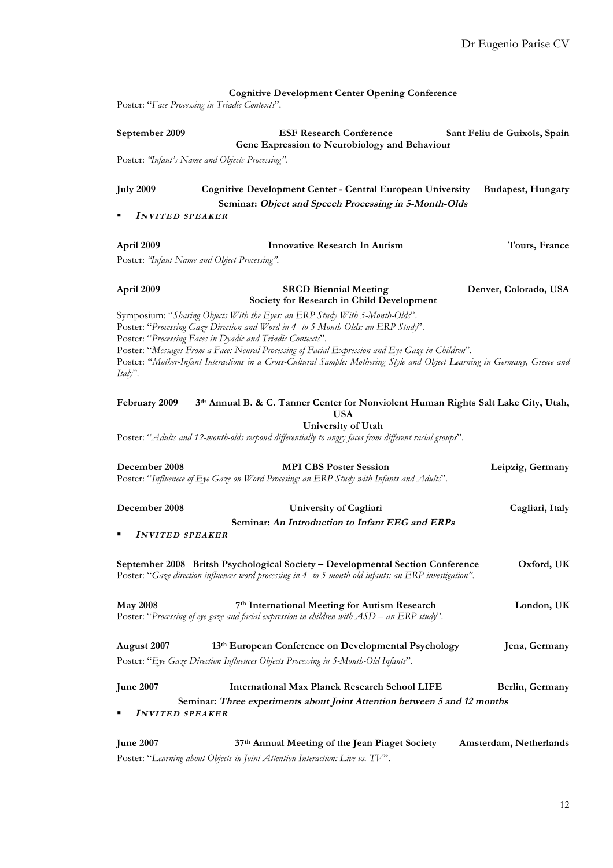|                        | <b>Cognitive Development Center Opening Conference</b>                                                                                                                                                                                                                                       |                          |  |  |  |  |  |
|------------------------|----------------------------------------------------------------------------------------------------------------------------------------------------------------------------------------------------------------------------------------------------------------------------------------------|--------------------------|--|--|--|--|--|
|                        | Poster: "Face Processing in Triadic Contexts".                                                                                                                                                                                                                                               |                          |  |  |  |  |  |
| September 2009         | <b>ESF Research Conference</b><br>Sant Feliu de Guixols, Spain<br>Gene Expression to Neurobiology and Behaviour                                                                                                                                                                              |                          |  |  |  |  |  |
|                        | Poster: "Infant's Name and Objects Processing".                                                                                                                                                                                                                                              |                          |  |  |  |  |  |
|                        |                                                                                                                                                                                                                                                                                              |                          |  |  |  |  |  |
| <b>July 2009</b>       | <b>Cognitive Development Center - Central European University</b><br>Seminar: Object and Speech Processing in 5-Month-Olds                                                                                                                                                                   | <b>Budapest, Hungary</b> |  |  |  |  |  |
| <b>INVITED SPEAKER</b> |                                                                                                                                                                                                                                                                                              |                          |  |  |  |  |  |
|                        |                                                                                                                                                                                                                                                                                              |                          |  |  |  |  |  |
| April 2009             | Innovative Research In Autism                                                                                                                                                                                                                                                                | Tours, France            |  |  |  |  |  |
|                        | Poster: 'Infant Name and Object Processing".                                                                                                                                                                                                                                                 |                          |  |  |  |  |  |
| April 2009             | <b>SRCD Biennial Meeting</b><br>Society for Research in Child Development                                                                                                                                                                                                                    | Denver, Colorado, USA    |  |  |  |  |  |
|                        | Symposium: "Sharing Objects With the Eyes: an ERP Study With 5-Month-Olds".<br>Poster: "Processing Gaze Direction and Word in 4- to 5-Month-Olds: an ERP Study".                                                                                                                             |                          |  |  |  |  |  |
| Italy".                | Poster: "Processing Faces in Dyadic and Triadic Contexts".<br>Poster: "Messages From a Face: Neural Processing of Facial Expression and Eye Gaze in Children".<br>Poster: "Mother-Infant Interactions in a Cross-Cultural Sample: Mothering Style and Object Learning in Germany, Greece and |                          |  |  |  |  |  |
| February 2009          | 3dr Annual B. & C. Tanner Center for Nonviolent Human Rights Salt Lake City, Utah,<br><b>USA</b>                                                                                                                                                                                             |                          |  |  |  |  |  |
|                        | University of Utah                                                                                                                                                                                                                                                                           |                          |  |  |  |  |  |
|                        | Poster: "Adults and 12-month-olds respond differentially to angry faces from different racial groups".                                                                                                                                                                                       |                          |  |  |  |  |  |
| December 2008          | <b>MPI CBS Poster Session</b><br>Poster: "Influenece of Eye Gaze on Word Procesing: an ERP Study with Infants and Adults".                                                                                                                                                                   | Leipzig, Germany         |  |  |  |  |  |
| December 2008          | University of Cagliari                                                                                                                                                                                                                                                                       | Cagliari, Italy          |  |  |  |  |  |
|                        | Seminar: An Introduction to Infant EEG and ERPs                                                                                                                                                                                                                                              |                          |  |  |  |  |  |
| <b>INVITED SPEAKER</b> |                                                                                                                                                                                                                                                                                              |                          |  |  |  |  |  |
|                        | September 2008 Britsh Psychological Society - Developmental Section Conference<br>Poster: "Gaze direction influences word processing in 4- to 5-month-old infants: an ERP investigation".                                                                                                    | Oxford, UK               |  |  |  |  |  |
| <b>May 2008</b>        | 7th International Meeting for Autism Research<br>Poster: "Processing of eye gaze and facial expression in children with ASD – an ERP study".                                                                                                                                                 | London, UK               |  |  |  |  |  |
| August 2007            | 13th European Conference on Developmental Psychology                                                                                                                                                                                                                                         | Jena, Germany            |  |  |  |  |  |
|                        | Poster: "Eye Gaze Direction Influences Objects Processing in 5-Month-Old Infants".                                                                                                                                                                                                           |                          |  |  |  |  |  |
| <b>June 2007</b>       | <b>International Max Planck Research School LIFE</b>                                                                                                                                                                                                                                         | Berlin, Germany          |  |  |  |  |  |
|                        | Seminar: Three experiments about Joint Attention between 5 and 12 months                                                                                                                                                                                                                     |                          |  |  |  |  |  |
| <b>INVITED SPEAKER</b> |                                                                                                                                                                                                                                                                                              |                          |  |  |  |  |  |
| <b>June 2007</b>       | 37th Annual Meeting of the Jean Piaget Society<br>Poster: "Learning about Objects in Joint Attention Interaction: Live vs. TV".                                                                                                                                                              | Amsterdam, Netherlands   |  |  |  |  |  |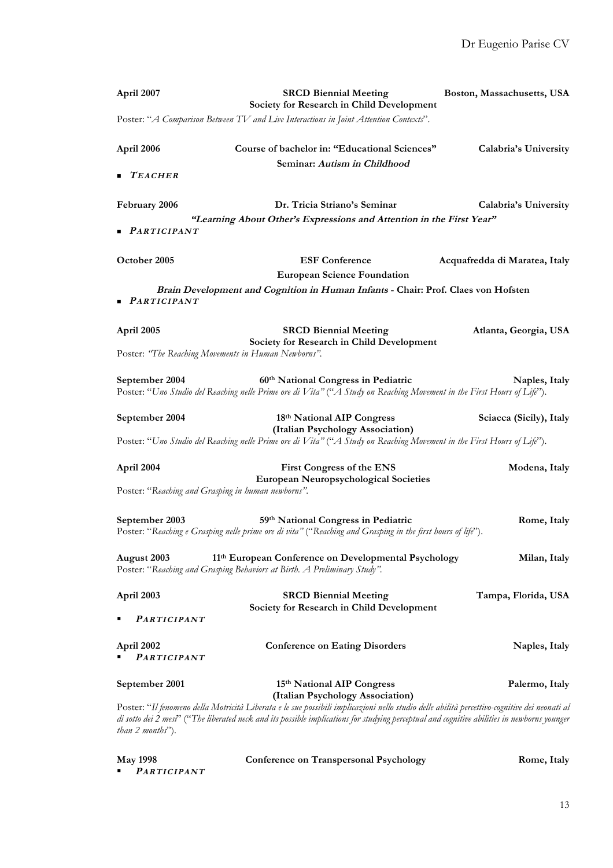| April 2007                                                       | <b>SRCD Biennial Meeting</b><br>Society for Research in Child Development                                                                                                                                                                                                                   | Boston, Massachusetts, USA    |
|------------------------------------------------------------------|---------------------------------------------------------------------------------------------------------------------------------------------------------------------------------------------------------------------------------------------------------------------------------------------|-------------------------------|
|                                                                  | Poster: "A Comparison Between TV and Live Interactions in Joint Attention Contexts".                                                                                                                                                                                                        |                               |
| April 2006                                                       | Course of bachelor in: "Educational Sciences"<br>Seminar: Autism in Childhood                                                                                                                                                                                                               | Calabria's University         |
| TEACHER                                                          |                                                                                                                                                                                                                                                                                             |                               |
| February 2006                                                    | Dr. Tricia Striano's Seminar<br>"Learning About Other's Expressions and Attention in the First Year"                                                                                                                                                                                        | Calabria's University         |
| $\blacksquare$ PARTICIPANT                                       |                                                                                                                                                                                                                                                                                             |                               |
| October 2005                                                     | <b>ESF Conference</b><br><b>European Science Foundation</b>                                                                                                                                                                                                                                 | Acquafredda di Maratea, Italy |
| $\n  PARTICIPANT\n$                                              | Brain Development and Cognition in Human Infants - Chair: Prof. Claes von Hofsten                                                                                                                                                                                                           |                               |
| April 2005                                                       | <b>SRCD Biennial Meeting</b><br>Society for Research in Child Development                                                                                                                                                                                                                   | Atlanta, Georgia, USA         |
| Poster: "The Reaching Movements in Human Newborns".              |                                                                                                                                                                                                                                                                                             |                               |
| September 2004                                                   | 60th National Congress in Pediatric<br>Poster: "Uno Studio del Reaching nelle Prime ore di Vita" ("A Study on Reaching Movement in the First Hours of Life").                                                                                                                               | Naples, Italy                 |
| September 2004                                                   | 18th National AIP Congress<br>(Italian Psychology Association)                                                                                                                                                                                                                              | Sciacca (Sicily), Italy       |
|                                                                  | Poster: "Uno Studio del Reaching nelle Prime ore di Vita" ("A Study on Reaching Movement in the First Hours of Life").                                                                                                                                                                      |                               |
| April 2004<br>Poster: "Reaching and Grasping in human newborns". | First Congress of the ENS<br><b>European Neuropsychological Societies</b>                                                                                                                                                                                                                   | Modena, Italy                 |
| September 2003                                                   | 59th National Congress in Pediatric<br>Poster: "Reaching e Grasping nelle prime ore di vita" ("Reaching and Grasping in the first hours of life").                                                                                                                                          | Rome, Italy                   |
| August 2003                                                      | 11 <sup>th</sup> European Conference on Developmental Psychology<br>Poster: "Reaching and Grasping Behaviors at Birth. A Preliminary Study".                                                                                                                                                | Milan, Italy                  |
| April 2003                                                       | <b>SRCD Biennial Meeting</b><br>Society for Research in Child Development                                                                                                                                                                                                                   | Tampa, Florida, USA           |
| <b>PARTICIPANT</b>                                               |                                                                                                                                                                                                                                                                                             |                               |
| April 2002<br><b>PARTICIPANT</b>                                 | <b>Conference on Eating Disorders</b>                                                                                                                                                                                                                                                       | Naples, Italy                 |
| September 2001                                                   | 15th National AIP Congress<br>(Italian Psychology Association)                                                                                                                                                                                                                              | Palermo, Italy                |
| <i>than</i> $2$ <i>months</i> ").                                | Poster: "Il fenomeno della Motricità Liberata e le sue possibili implicazioni nello studio delle abilità percettivo-cognitive dei neonati al<br>di sotto dei 2 mesi" ("The liberated neck and its possible implications for studying perceptual and cognitive abilities in newborns younger |                               |

**May 1998 Conference on Transpersonal Psychology Rome, Italy** § **PARTICIPANT**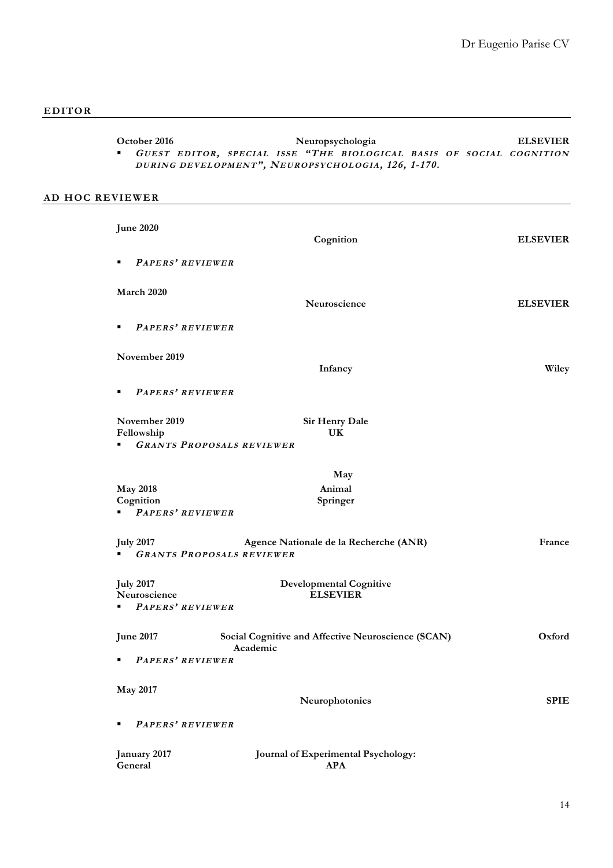| <b>October 2016</b> |  |  |  | Neuropsychologia |                                                                        |  |  | <b>ELSEVIER</b> |
|---------------------|--|--|--|------------------|------------------------------------------------------------------------|--|--|-----------------|
|                     |  |  |  |                  | " GUEST EDITOR, SPECIAL ISSE "THE BIOLOGICAL BASIS OF SOCIAL COGNITION |  |  |                 |
|                     |  |  |  |                  | DURING DEVELOPMENT", NEUROPSYCHOLOGIA, 126, 1-170.                     |  |  |                 |

# **AD HOC REVIEWER**

| <b>June 2020</b>                     | Cognition                                                                  | <b>ELSEVIER</b> |
|--------------------------------------|----------------------------------------------------------------------------|-----------------|
| PAPERS' REVIEWER<br>٠                |                                                                            |                 |
| March 2020                           | Neuroscience                                                               | <b>ELSEVIER</b> |
| PAPERS' REVIEWER<br>٠                |                                                                            |                 |
| November 2019                        | Infancy                                                                    | Wiley           |
| PAPERS' REVIEWER<br>٠                |                                                                            |                 |
| November 2019<br>Fellowship<br>٠     | Sir Henry Dale<br>UK<br><b>GRANTS PROPOSALS REVIEWER</b>                   |                 |
|                                      | May                                                                        |                 |
| <b>May 2018</b><br>Cognition         | Animal<br>Springer                                                         |                 |
| PAPERS' REVIEWER                     |                                                                            |                 |
| <b>July 2017</b>                     | Agence Nationale de la Recherche (ANR)<br><b>GRANTS PROPOSALS REVIEWER</b> | France          |
| <b>July 2017</b>                     | <b>Developmental Cognitive</b>                                             |                 |
| Neuroscience<br>PAPERS' REVIEWER     | <b>ELSEVIER</b>                                                            |                 |
| <b>June 2017</b><br>PAPERS' REVIEWER | Social Cognitive and Affective Neuroscience (SCAN)<br>Academic             | Oxford          |
|                                      |                                                                            |                 |
| <b>May 2017</b>                      | Neurophotonics                                                             | <b>SPIE</b>     |
| PAPERS' REVIEWER                     |                                                                            |                 |
| January 2017<br>General              | Journal of Experimental Psychology:<br><b>APA</b>                          |                 |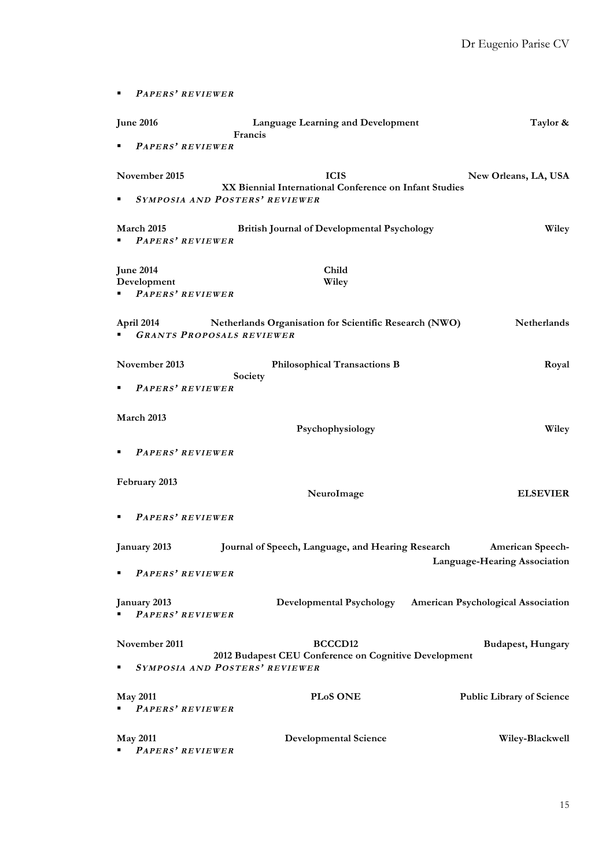```
§ PAPERS ' REVIEWER
June 2016 Language Learning and Development Taylor & 
                Francis
  § PAPERS ' REVIEWER
November 2015 ICIS New Orleans, LA, USA
              XX Biennial International Conference on Infant Studies
§ SYMPOSIA AND POSTERS ' REVIEWER
March 2015 British Journal of Developmental Psychology Wiley
 § PAPERS ' REVIEWER
June 2014 Child
Development Wiley
§ PAPERS ' REVIEWER
April 2014 Netherlands Organisation for Scientific Research (NWO) Netherlands
§ GRANTS PROPOSALS REVIEWER
November 2013 Philosophical Transactions B Royal 
                Society
§ PAPERS ' REVIEWER
March 2013 
                         Psychophysiology Wiley
§ PAPERS ' REVIEWER
February 2013 
                          NeuroImage ELSEVIER
§ PAPERS ' REVIEWER
January 2013 Journal of Speech, Language, and Hearing Research American Speech-
                                            Language-Hearing Association
  § PAPERS ' REVIEWER
January 2013 Developmental Psychology American Psychological Association
  § PAPERS ' REVIEWER
November 2011 BCCCD12 BCCCD12 Budapest, Hungary
             2012 Budapest CEU Conference on Cognitive Development
§ SYMPOSIA AND POSTERS ' REVIEWER
May 2011 PLoS ONE Public Library of Science
§ PAPERS ' REVIEWER
May 2011 Developmental Science Wiley-Blackwell
 § PAPERS ' REVIEWER
```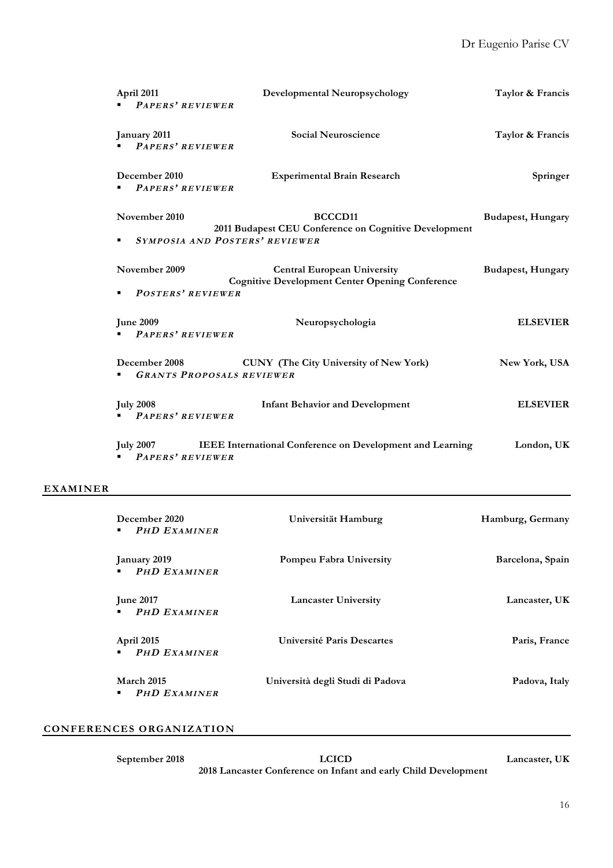| April 2011<br>PAPERS' REVIEWER            | <b>Developmental Neuropsychology</b>                                                                           | Taylor & Francis         |
|-------------------------------------------|----------------------------------------------------------------------------------------------------------------|--------------------------|
| January 2011<br>PAPERS' REVIEWER          | <b>Social Neuroscience</b>                                                                                     | Taylor & Francis         |
| December 2010<br>PAPERS' REVIEWER         | <b>Experimental Brain Research</b>                                                                             | Springer                 |
| November 2010<br>٠                        | BCCCD <sub>11</sub><br>2011 Budapest CEU Conference on Cognitive Development<br>SYMPOSIA AND POSTERS' REVIEWER | <b>Budapest, Hungary</b> |
| November 2009<br><b>POSTERS' REVIEWER</b> | <b>Central European University</b><br><b>Cognitive Development Center Opening Conference</b>                   | <b>Budapest, Hungary</b> |
| <b>June 2009</b><br>PAPERS' REVIEWER      | Neuropsychologia                                                                                               | <b>ELSEVIER</b>          |
| <b>December 2008</b>                      | <b>CUNY</b> (The City University of New York)<br><b>GRANTS PROPOSALS REVIEWER</b>                              | New York, USA            |
| <b>July 2008</b><br>PAPERS' REVIEWER      | <b>Infant Behavior and Development</b>                                                                         | <b>ELSEVIER</b>          |
| <b>PAPERS' REVIEWER</b>                   | July 2007 IEEE International Conference on Development and Learning                                            | London, UK               |

# **EXAMINER**

| December 2020<br><b>PHD EXAMINER</b><br>٠     | Universität Hamburg              | Hamburg, Germany |
|-----------------------------------------------|----------------------------------|------------------|
| January 2019<br><b>PHD EXAMINER</b>           | Pompeu Fabra University          | Barcelona, Spain |
| <b>June 2017</b><br><b>PHD EXAMINER</b>       | <b>Lancaster University</b>      | Lancaster, UK    |
| April 2015<br><b>PHD EXAMINER</b>             | Université Paris Descartes       | Paris, France    |
| <b>March 2015</b><br><b>PHD EXAMINER</b><br>٠ | Università degli Studi di Padova | Padova, Italy    |

# **CONFERENCES ORGANIZATION**

| September 2018 | <b>LCICD</b>                                                    | Lancaster, UK |
|----------------|-----------------------------------------------------------------|---------------|
|                | 2018 Lancaster Conference on Infant and early Child Development |               |
|                |                                                                 |               |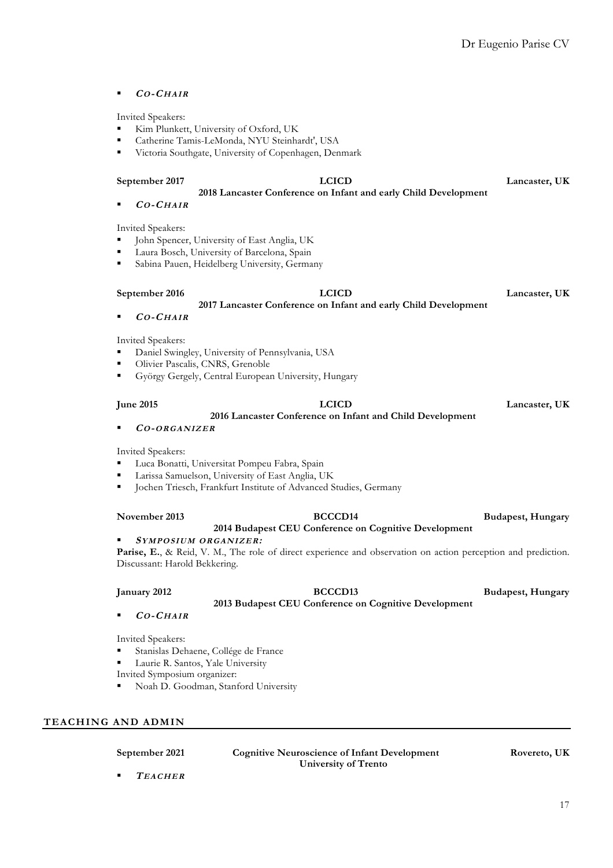§ **CO-CHAIR**

- § Kim Plunkett, University of Oxford, UK
- § Catherine Tamis-LeMonda, NYU Steinhardt', USA
- § Victoria Southgate, University of Copenhagen, Denmark

#### **September 2017 LCICD Lancaster, UK**

**2018 Lancaster Conference on Infant and early Child Development**

§ **CO-CHAIR**

Invited Speakers:

- § John Spencer, University of East Anglia, UK
- § Laura Bosch, University of Barcelona, Spain
- § Sabina Pauen, Heidelberg University, Germany

#### **September 2016 LCICD Lancaster, UK**

**2017 Lancaster Conference on Infant and early Child Development** § **CO-CHAIR**

Invited Speakers:

- § Daniel Swingley, University of Pennsylvania, USA
- § Olivier Pascalis, CNRS, Grenoble
- § György Gergely, Central European University, Hungary

# **2016 Lancaster Conference on Infant and Child Development**

**June 2015 LCICD Lancaster, UK**

### § **CO-ORGANIZER**

Invited Speakers:

- § Luca Bonatti, Universitat Pompeu Fabra, Spain
- § Larissa Samuelson, University of East Anglia, UK
- § Jochen Triesch, Frankfurt Institute of Advanced Studies, Germany

### **November 2013 BCCCD14 Budapest, Hungary 2014 Budapest CEU Conference on Cognitive Development**

### § **SYMPOSIUM ORGANIZER:**

**Parise, E.**, & Reid, V. M., The role of direct experience and observation on action perception and prediction. Discussant: Harold Bekkering.

### **January 2012 BCCCD13 Budapest, Hungary**

**2013 Budapest CEU Conference on Cognitive Development**

§ **CO-CHAIR**

Invited Speakers:

- § Stanislas Dehaene, Collége de France
- § Laurie R. Santos, Yale University

Invited Symposium organizer:

§ Noah D. Goodman, Stanford University

# **TEACHING AND ADMIN**

**September 2021 Cognitive Neuroscience of Infant Development Rovereto, UK University of Trento**

§ **TEACHER**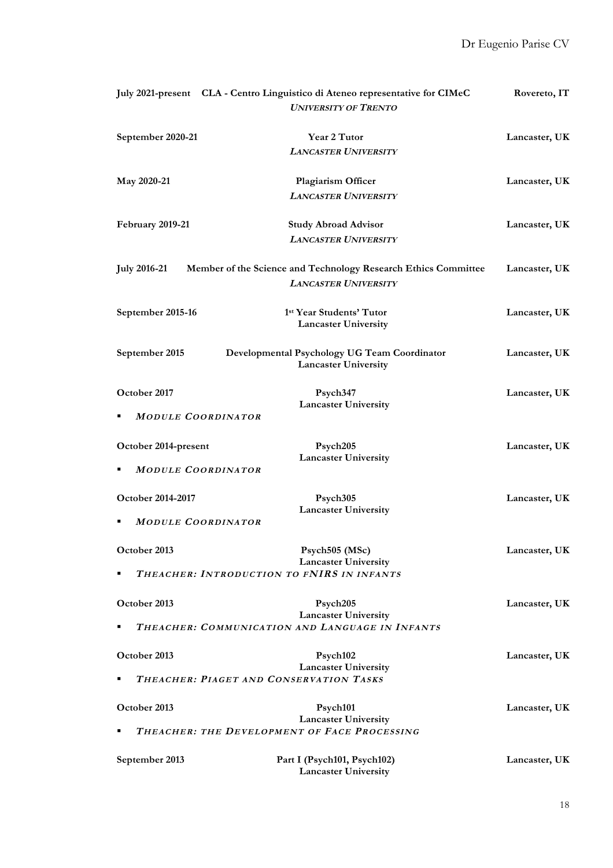|                      | July 2021-present CLA - Centro Linguistico di Ateneo representative for CIMeC<br><b>UNIVERSITY OF TRENTO</b>             | Rovereto, IT  |
|----------------------|--------------------------------------------------------------------------------------------------------------------------|---------------|
| September 2020-21    | Year 2 Tutor<br><b>LANCASTER UNIVERSITY</b>                                                                              | Lancaster, UK |
| May 2020-21          | Plagiarism Officer<br><b>LANCASTER UNIVERSITY</b>                                                                        | Lancaster, UK |
| February 2019-21     | <b>Study Abroad Advisor</b><br><b>LANCASTER UNIVERSITY</b>                                                               | Lancaster, UK |
| <b>July 2016-21</b>  | Member of the Science and Technology Research Ethics Committee<br><b>LANCASTER UNIVERSITY</b>                            | Lancaster, UK |
| September 2015-16    | 1st Year Students' Tutor<br><b>Lancaster University</b>                                                                  | Lancaster, UK |
| September 2015       | Developmental Psychology UG Team Coordinator<br><b>Lancaster University</b>                                              | Lancaster, UK |
| October 2017         | Psych347<br><b>Lancaster University</b><br><b>MODULE COORDINATOR</b>                                                     | Lancaster, UK |
| October 2014-present | Psych205<br><b>Lancaster University</b><br><b>MODULE COORDINATOR</b>                                                     | Lancaster, UK |
| October 2014-2017    | Psych305<br><b>Lancaster University</b>                                                                                  | Lancaster, UK |
| October 2013         | <b>MODULE COORDINATOR</b><br>Psych505 (MSc)<br><b>Lancaster University</b><br>THEACHER: INTRODUCTION TO FNIRS IN INFANTS | Lancaster, UK |
| October 2013         | Psych205<br><b>Lancaster University</b><br>THEACHER: COMMUNICATION AND LANGUAGE IN INFANTS                               | Lancaster, UK |
| October 2013         | Psych102<br><b>Lancaster University</b><br>THEACHER: PIAGET AND CONSERVATION TASKS                                       | Lancaster, UK |
| October 2013         | Psych101<br><b>Lancaster University</b><br>THEACHER: THE DEVELOPMENT OF FACE PROCESSING                                  | Lancaster, UK |
| September 2013       | Part I (Psych101, Psych102)<br><b>Lancaster University</b>                                                               | Lancaster, UK |